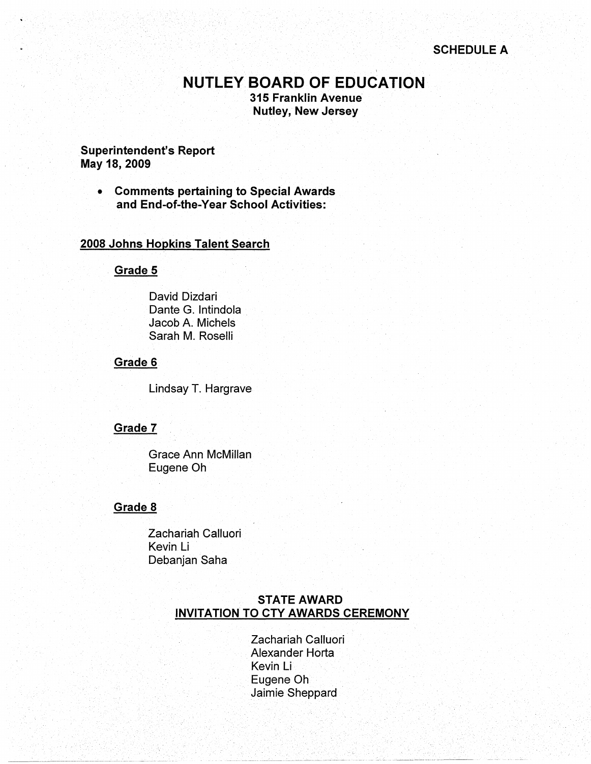# **NUTLEY BOARD OF EDUCATION**

**315 Franklin Avenue Nutley, New Jersey** 

### **Superintendent's Report May 18, 2009**

• **Comments pertaining to Special Awards and End-of-the-Year School Activities:** 

### **2008 Johns Hopkins Talent Search**

#### **Grade 5**

David Dizdari Dante G. lntindola Jacob A. Michels Sarah M. Roselli

#### **Grade 6**

Lindsay T. Hargrave

#### **Grade 7**

Grace Ann McMillan Eugene Oh

### **Grade 8**

Zachariah Calluori Kevin Li Debanjan Saha

### **STATE AWARD INVITATION TO CTY AWARDS CEREMONY**

Zachariah Calluori Alexander Horta Kevin Li Eugene Oh Jaimie Sheppard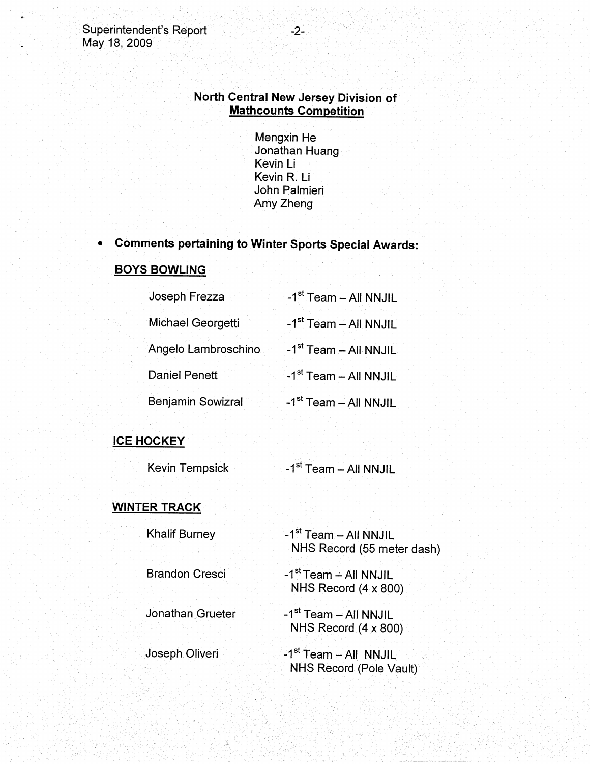# **North Central New Jersey Division of Mathcounts Competition**

Mengxin He Jonathan Huang Kevin Li Kevin R. Li John Palmieri Amy Zheng

# • **Comments pertaining to Winter Sports Special Awards:**

### **BOYS BOWLING**

| Joseph Frezza        | -1 <sup>st</sup> Team - All NNJIL |
|----------------------|-----------------------------------|
| Michael Georgetti    | -1 <sup>st</sup> Team - All NNJIL |
| Angelo Lambroschino  | -1 <sup>st</sup> Team - All NNJIL |
| <b>Daniel Penett</b> | -1 <sup>st</sup> Team - All NNJIL |
| Benjamin Sowizral    | -1 <sup>st</sup> Team - All NNJIL |

## **ICE HOCKEY**

| Kevin Tempsick |  | -1 <sup>st</sup> Team – All NNJIL |
|----------------|--|-----------------------------------|
|----------------|--|-----------------------------------|

# **WINTER TRACK**

| Khalif Burney         | -1 <sup>st</sup> Team - All NNJIL |
|-----------------------|-----------------------------------|
|                       | NHS Record (55 meter dash)        |
|                       |                                   |
| <b>Brandon Cresci</b> | -1 <sup>st</sup> Team - All NNJIL |
|                       | NHS Record $(4 \times 800)$       |

Jonathan Grueter -1<sup>st</sup> Team - All NNJIL NHS Record (4 x 800)

Joseph Oliveri -1<sup>st</sup> Team - All NNJIL NHS Record (Pole Vault)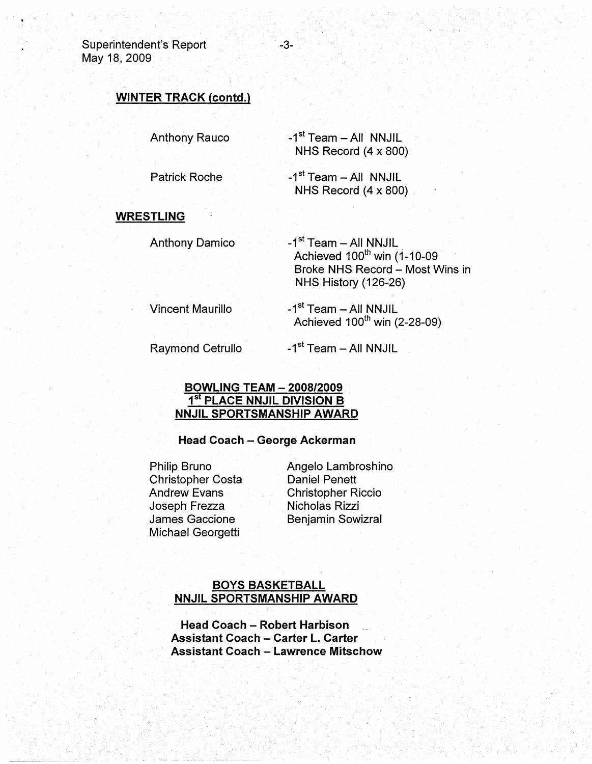Superintendent's Report May 18, 2009

### . **WINTER TRACK (contd.)**

Anthony Rauco

- $-1<sup>st</sup>$  Team All NNJIL NHS Record (4 x 800)
- Patrick Roche  $-1<sup>st</sup>$  Team - All NNJIL NHS Record  $(4 \times 800)$

#### **WRESTLING**

- Anthony Damico -1<sup>st</sup> Team - All NNJIL Achieved 100<sup>th</sup> win (1-10-09 Broke NHS Record - Most Wins in NHS History (126-26)
- Vincent Maurillo -1<sup>st</sup> Team – All NNJIL Achieved  $100^{th}$  win (2-28-09).

Raymond Cetrullo

 $-1<sup>st</sup>$  Team - All NNJIL

### **BOWLING TEAM** - **2008/2009 1st PLACE NNJIL DIVISION B NNJIL SPORTSMANSHIP AWARD**

#### **Head Coach** - **George Ackerman**

Philip Bruno Christopher Costa Andrew Evans Joseph Frezza James Gaccione Michael Georgetti

Angelo Lambroshino Daniel Penett Christopher Riccio Nicholas Rizzi Benjamin Sowizral

### **BOYS BASKETBALL NNJIL SPORTSMANSHIP AWARD**

**Head Coach** - **Robert Harbison Assistant Coach** - **Carter L. Carter Assistant Coach** - **Lawrence Mitschow**